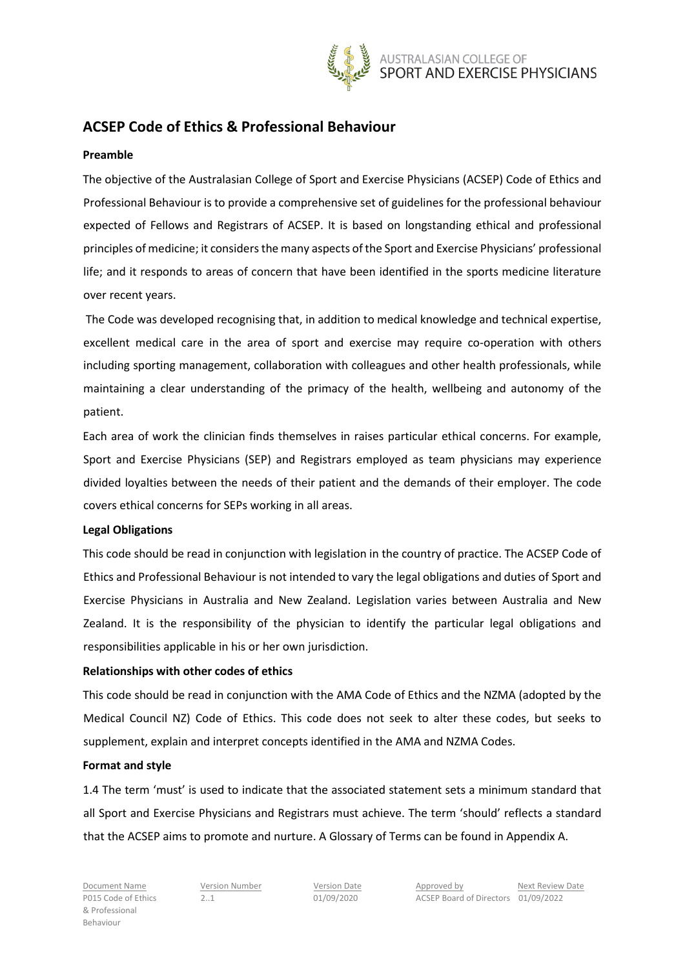

# **ACSEP Code of Ethics & Professional Behaviour**

#### **Preamble**

The objective of the Australasian College of Sport and Exercise Physicians (ACSEP) Code of Ethics and Professional Behaviour is to provide a comprehensive set of guidelines for the professional behaviour expected of Fellows and Registrars of ACSEP. It is based on longstanding ethical and professional principles of medicine; it considers the many aspects of the Sport and Exercise Physicians' professional life; and it responds to areas of concern that have been identified in the sports medicine literature over recent years.

The Code was developed recognising that, in addition to medical knowledge and technical expertise, excellent medical care in the area of sport and exercise may require co-operation with others including sporting management, collaboration with colleagues and other health professionals, while maintaining a clear understanding of the primacy of the health, wellbeing and autonomy of the patient.

Each area of work the clinician finds themselves in raises particular ethical concerns. For example, Sport and Exercise Physicians (SEP) and Registrars employed as team physicians may experience divided loyalties between the needs of their patient and the demands of their employer. The code covers ethical concerns for SEPs working in all areas.

#### **Legal Obligations**

This code should be read in conjunction with legislation in the country of practice. The ACSEP Code of Ethics and Professional Behaviour is not intended to vary the legal obligations and duties of Sport and Exercise Physicians in Australia and New Zealand. Legislation varies between Australia and New Zealand. It is the responsibility of the physician to identify the particular legal obligations and responsibilities applicable in his or her own jurisdiction.

#### **Relationships with other codes of ethics**

This code should be read in conjunction with the AMA Code of Ethics and the NZMA (adopted by the Medical Council NZ) Code of Ethics. This code does not seek to alter these codes, but seeks to supplement, explain and interpret concepts identified in the AMA and NZMA Codes.

#### **Format and style**

1.4 The term 'must' is used to indicate that the associated statement sets a minimum standard that all Sport and Exercise Physicians and Registrars must achieve. The term 'should' reflects a standard that the ACSEP aims to promote and nurture. A Glossary of Terms can be found in Appendix A.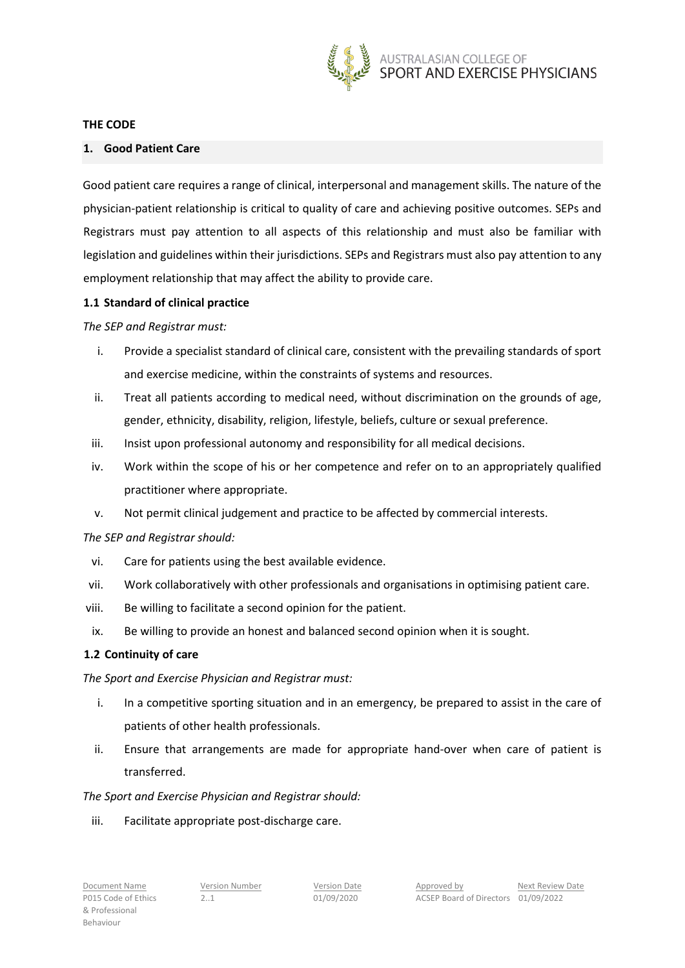

#### **THE CODE**

#### **1. Good Patient Care**

Good patient care requires a range of clinical, interpersonal and management skills. The nature of the physician-patient relationship is critical to quality of care and achieving positive outcomes. SEPs and Registrars must pay attention to all aspects of this relationship and must also be familiar with legislation and guidelines within their jurisdictions. SEPs and Registrars must also pay attention to any employment relationship that may affect the ability to provide care.

#### **1.1 Standard of clinical practice**

*The SEP and Registrar must:*

- i. Provide a specialist standard of clinical care, consistent with the prevailing standards of sport and exercise medicine, within the constraints of systems and resources.
- ii. Treat all patients according to medical need, without discrimination on the grounds of age, gender, ethnicity, disability, religion, lifestyle, beliefs, culture or sexual preference.
- iii. Insist upon professional autonomy and responsibility for all medical decisions.
- iv. Work within the scope of his or her competence and refer on to an appropriately qualified practitioner where appropriate.
- v. Not permit clinical judgement and practice to be affected by commercial interests.

#### *The SEP and Registrar should:*

- vi. Care for patients using the best available evidence.
- vii. Work collaboratively with other professionals and organisations in optimising patient care.
- viii. Be willing to facilitate a second opinion for the patient.
- ix. Be willing to provide an honest and balanced second opinion when it is sought.

#### **1.2 Continuity of care**

#### *The Sport and Exercise Physician and Registrar must:*

- i. In a competitive sporting situation and in an emergency, be prepared to assist in the care of patients of other health professionals.
- ii. Ensure that arrangements are made for appropriate hand-over when care of patient is transferred.

#### *The Sport and Exercise Physician and Registrar should:*

iii. Facilitate appropriate post-discharge care.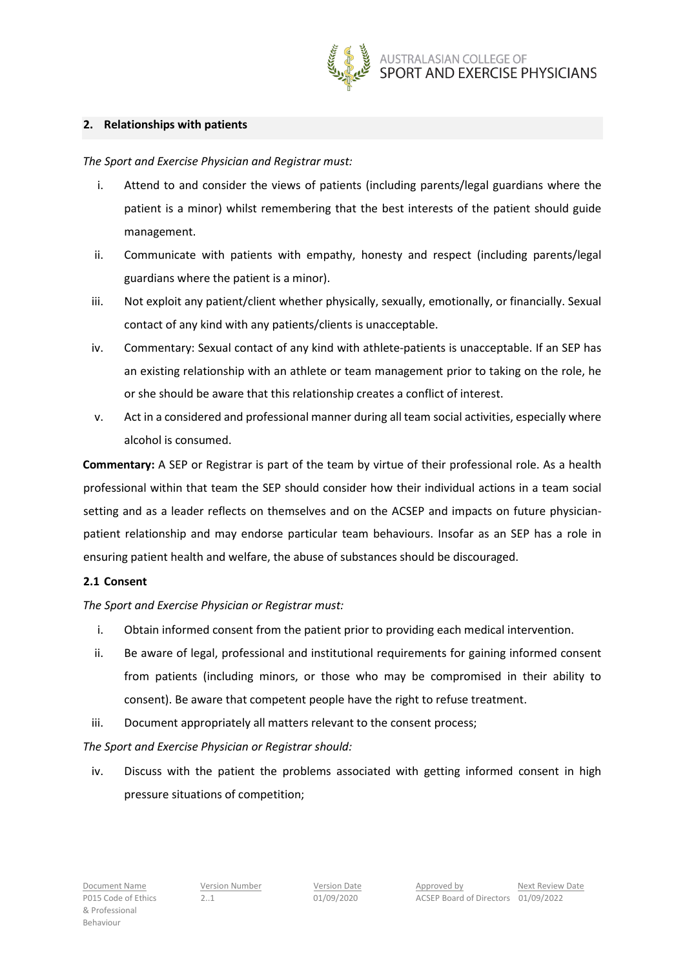

## **2. Relationships with patients**

*The Sport and Exercise Physician and Registrar must:*

- i. Attend to and consider the views of patients (including parents/legal guardians where the patient is a minor) whilst remembering that the best interests of the patient should guide management.
- ii. Communicate with patients with empathy, honesty and respect (including parents/legal guardians where the patient is a minor).
- iii. Not exploit any patient/client whether physically, sexually, emotionally, or financially. Sexual contact of any kind with any patients/clients is unacceptable.
- iv. Commentary: Sexual contact of any kind with athlete-patients is unacceptable. If an SEP has an existing relationship with an athlete or team management prior to taking on the role, he or she should be aware that this relationship creates a conflict of interest.
- v. Act in a considered and professional manner during all team social activities, especially where alcohol is consumed.

**Commentary:** A SEP or Registrar is part of the team by virtue of their professional role. As a health professional within that team the SEP should consider how their individual actions in a team social setting and as a leader reflects on themselves and on the ACSEP and impacts on future physicianpatient relationship and may endorse particular team behaviours. Insofar as an SEP has a role in ensuring patient health and welfare, the abuse of substances should be discouraged.

# **2.1 Consent**

*The Sport and Exercise Physician or Registrar must:* 

- i. Obtain informed consent from the patient prior to providing each medical intervention.
- ii. Be aware of legal, professional and institutional requirements for gaining informed consent from patients (including minors, or those who may be compromised in their ability to consent). Be aware that competent people have the right to refuse treatment.
- iii. Document appropriately all matters relevant to the consent process;

# *The Sport and Exercise Physician or Registrar should:*

iv. Discuss with the patient the problems associated with getting informed consent in high pressure situations of competition;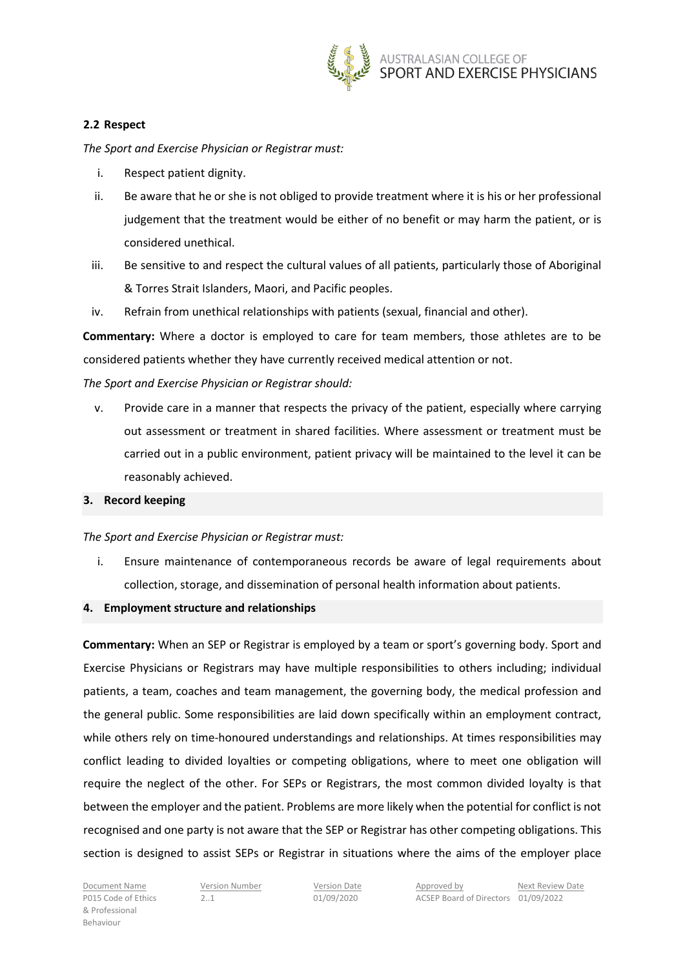

## **2.2 Respect**

*The Sport and Exercise Physician or Registrar must:*

- i. Respect patient dignity.
- ii. Be aware that he or she is not obliged to provide treatment where it is his or her professional judgement that the treatment would be either of no benefit or may harm the patient, or is considered unethical.
- iii. Be sensitive to and respect the cultural values of all patients, particularly those of Aboriginal & Torres Strait Islanders, Maori, and Pacific peoples.
- iv. Refrain from unethical relationships with patients (sexual, financial and other).

**Commentary:** Where a doctor is employed to care for team members, those athletes are to be considered patients whether they have currently received medical attention or not.

*The Sport and Exercise Physician or Registrar should:*

v. Provide care in a manner that respects the privacy of the patient, especially where carrying out assessment or treatment in shared facilities. Where assessment or treatment must be carried out in a public environment, patient privacy will be maintained to the level it can be reasonably achieved.

#### **3. Record keeping**

#### *The Sport and Exercise Physician or Registrar must:*

i. Ensure maintenance of contemporaneous records be aware of legal requirements about collection, storage, and dissemination of personal health information about patients.

#### **4. Employment structure and relationships**

**Commentary:** When an SEP or Registrar is employed by a team or sport's governing body. Sport and Exercise Physicians or Registrars may have multiple responsibilities to others including; individual patients, a team, coaches and team management, the governing body, the medical profession and the general public. Some responsibilities are laid down specifically within an employment contract, while others rely on time-honoured understandings and relationships. At times responsibilities may conflict leading to divided loyalties or competing obligations, where to meet one obligation will require the neglect of the other. For SEPs or Registrars, the most common divided loyalty is that between the employer and the patient. Problems are more likely when the potential for conflict is not recognised and one party is not aware that the SEP or Registrar has other competing obligations. This section is designed to assist SEPs or Registrar in situations where the aims of the employer place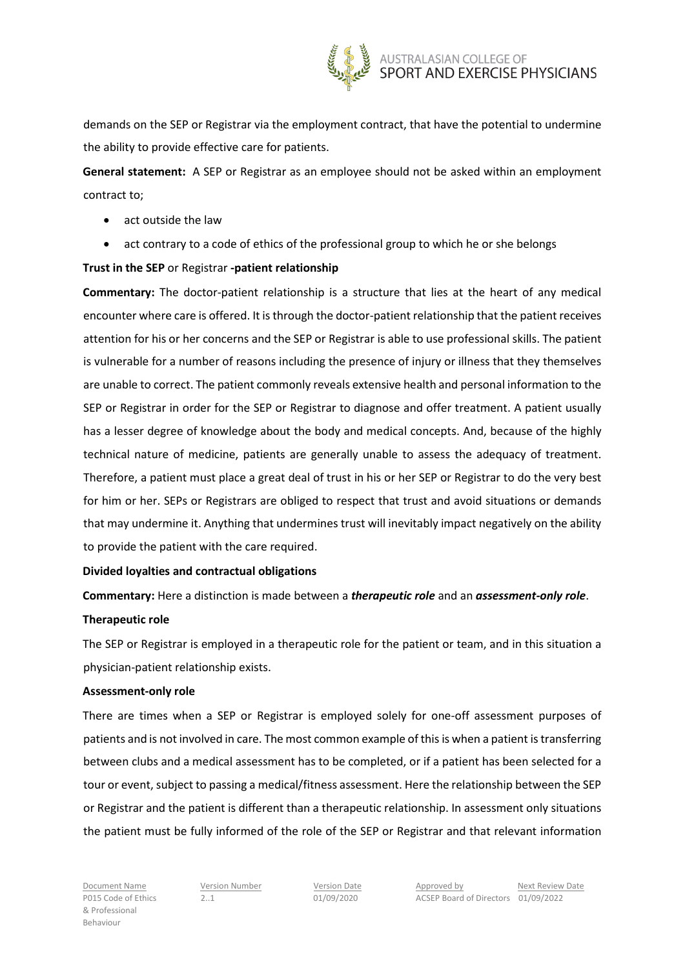

demands on the SEP or Registrar via the employment contract, that have the potential to undermine the ability to provide effective care for patients.

**General statement:** A SEP or Registrar as an employee should not be asked within an employment contract to;

- act outside the law
- act contrary to a code of ethics of the professional group to which he or she belongs

# **Trust in the SEP** or Registrar **-patient relationship**

**Commentary:** The doctor-patient relationship is a structure that lies at the heart of any medical encounter where care is offered. It is through the doctor-patient relationship that the patient receives attention for his or her concerns and the SEP or Registrar is able to use professional skills. The patient is vulnerable for a number of reasons including the presence of injury or illness that they themselves are unable to correct. The patient commonly reveals extensive health and personal information to the SEP or Registrar in order for the SEP or Registrar to diagnose and offer treatment. A patient usually has a lesser degree of knowledge about the body and medical concepts. And, because of the highly technical nature of medicine, patients are generally unable to assess the adequacy of treatment. Therefore, a patient must place a great deal of trust in his or her SEP or Registrar to do the very best for him or her. SEPs or Registrars are obliged to respect that trust and avoid situations or demands that may undermine it. Anything that undermines trust will inevitably impact negatively on the ability to provide the patient with the care required.

# **Divided loyalties and contractual obligations**

# **Commentary:** Here a distinction is made between a *therapeutic role* and an *assessment-only role*. **Therapeutic role**

The SEP or Registrar is employed in a therapeutic role for the patient or team, and in this situation a physician-patient relationship exists.

#### **Assessment-only role**

There are times when a SEP or Registrar is employed solely for one-off assessment purposes of patients and is not involved in care. The most common example of this is when a patient is transferring between clubs and a medical assessment has to be completed, or if a patient has been selected for a tour or event, subject to passing a medical/fitness assessment. Here the relationship between the SEP or Registrar and the patient is different than a therapeutic relationship. In assessment only situations the patient must be fully informed of the role of the SEP or Registrar and that relevant information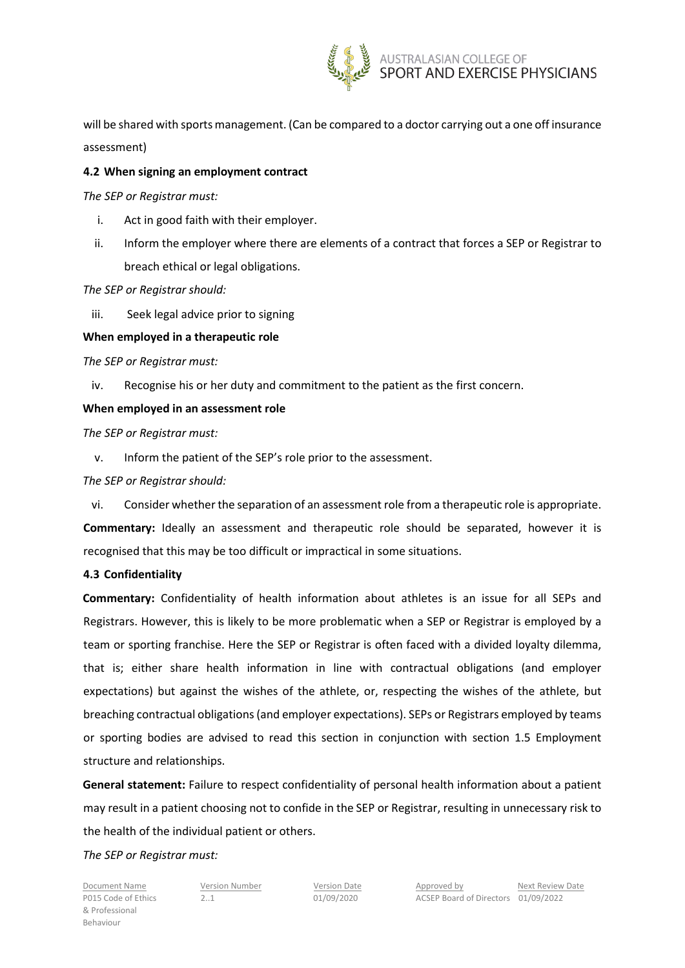

will be shared with sports management. (Can be compared to a doctor carrying out a one off insurance assessment)

## **4.2 When signing an employment contract**

*The SEP or Registrar must:*

- i. Act in good faith with their employer.
- ii. Inform the employer where there are elements of a contract that forces a SEP or Registrar to breach ethical or legal obligations.

## *The SEP or Registrar should:*

iii. Seek legal advice prior to signing

## **When employed in a therapeutic role**

*The SEP or Registrar must:*

iv. Recognise his or her duty and commitment to the patient as the first concern.

## **When employed in an assessment role**

*The SEP or Registrar must:*

v. Inform the patient of the SEP's role prior to the assessment.

## *The SEP or Registrar should:*

vi. Consider whether the separation of an assessment role from a therapeutic role is appropriate. **Commentary:** Ideally an assessment and therapeutic role should be separated, however it is recognised that this may be too difficult or impractical in some situations.

# **4.3 Confidentiality**

**Commentary:** Confidentiality of health information about athletes is an issue for all SEPs and Registrars. However, this is likely to be more problematic when a SEP or Registrar is employed by a team or sporting franchise. Here the SEP or Registrar is often faced with a divided loyalty dilemma, that is; either share health information in line with contractual obligations (and employer expectations) but against the wishes of the athlete, or, respecting the wishes of the athlete, but breaching contractual obligations (and employer expectations). SEPs or Registrars employed by teams or sporting bodies are advised to read this section in conjunction with section 1.5 Employment structure and relationships.

**General statement:** Failure to respect confidentiality of personal health information about a patient may result in a patient choosing not to confide in the SEP or Registrar, resulting in unnecessary risk to the health of the individual patient or others.

#### *The SEP or Registrar must:*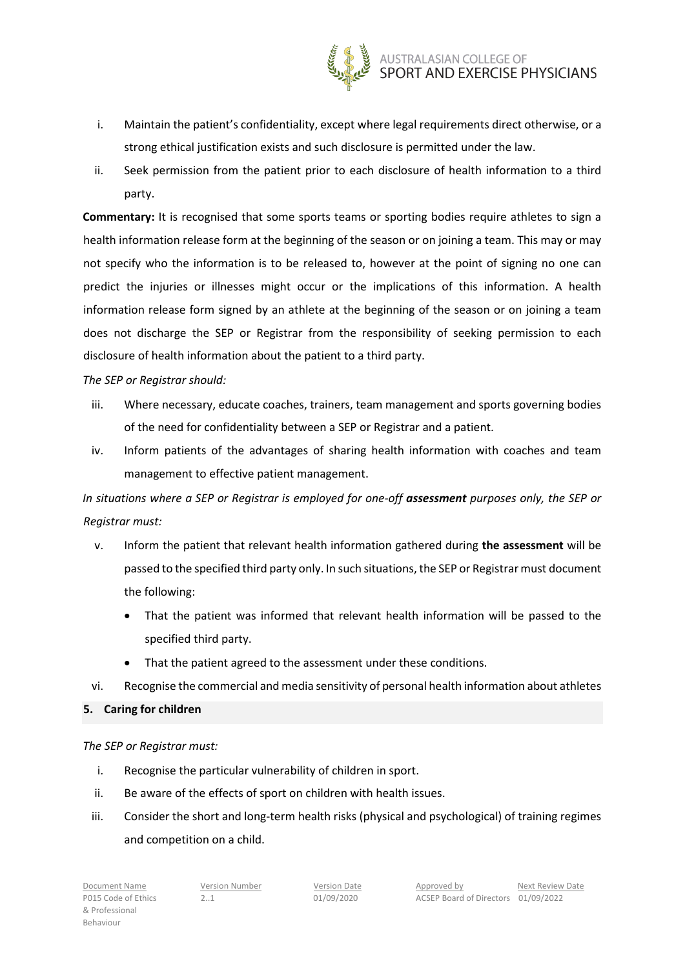

- i. Maintain the patient's confidentiality, except where legal requirements direct otherwise, or a strong ethical justification exists and such disclosure is permitted under the law.
- ii. Seek permission from the patient prior to each disclosure of health information to a third party.

**Commentary:** It is recognised that some sports teams or sporting bodies require athletes to sign a health information release form at the beginning of the season or on joining a team. This may or may not specify who the information is to be released to, however at the point of signing no one can predict the injuries or illnesses might occur or the implications of this information. A health information release form signed by an athlete at the beginning of the season or on joining a team does not discharge the SEP or Registrar from the responsibility of seeking permission to each disclosure of health information about the patient to a third party.

## *The SEP or Registrar should:*

- iii. Where necessary, educate coaches, trainers, team management and sports governing bodies of the need for confidentiality between a SEP or Registrar and a patient.
- iv. Inform patients of the advantages of sharing health information with coaches and team management to effective patient management.

*In situations where a SEP or Registrar is employed for one-off assessment purposes only, the SEP or Registrar must:*

- v. Inform the patient that relevant health information gathered during **the assessment** will be passed to the specified third party only. In such situations, the SEP or Registrarmust document the following:
	- That the patient was informed that relevant health information will be passed to the specified third party.
	- That the patient agreed to the assessment under these conditions.
- vi. Recognise the commercial and media sensitivity of personal health information about athletes

#### **5. Caring for children**

*The SEP or Registrar must:*

- i. Recognise the particular vulnerability of children in sport.
- ii. Be aware of the effects of sport on children with health issues.
- iii. Consider the short and long-term health risks (physical and psychological) of training regimes and competition on a child.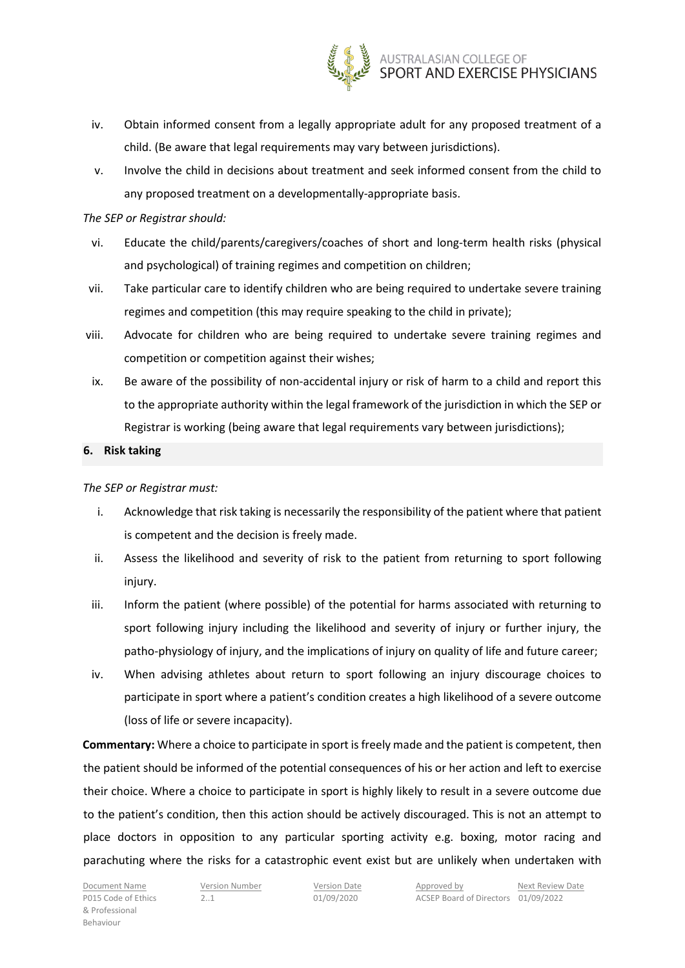

- iv. Obtain informed consent from a legally appropriate adult for any proposed treatment of a child. (Be aware that legal requirements may vary between jurisdictions).
- v. Involve the child in decisions about treatment and seek informed consent from the child to any proposed treatment on a developmentally-appropriate basis.

## *The SEP or Registrar should:*

- vi. Educate the child/parents/caregivers/coaches of short and long-term health risks (physical and psychological) of training regimes and competition on children;
- vii. Take particular care to identify children who are being required to undertake severe training regimes and competition (this may require speaking to the child in private);
- viii. Advocate for children who are being required to undertake severe training regimes and competition or competition against their wishes;
- ix. Be aware of the possibility of non-accidental injury or risk of harm to a child and report this to the appropriate authority within the legal framework of the jurisdiction in which the SEP or Registrar is working (being aware that legal requirements vary between jurisdictions);

## **6. Risk taking**

## *The SEP or Registrar must:*

- i. Acknowledge that risk taking is necessarily the responsibility of the patient where that patient is competent and the decision is freely made.
- ii. Assess the likelihood and severity of risk to the patient from returning to sport following injury.
- iii. Inform the patient (where possible) of the potential for harms associated with returning to sport following injury including the likelihood and severity of injury or further injury, the patho-physiology of injury, and the implications of injury on quality of life and future career;
- iv. When advising athletes about return to sport following an injury discourage choices to participate in sport where a patient's condition creates a high likelihood of a severe outcome (loss of life or severe incapacity).

**Commentary:** Where a choice to participate in sport is freely made and the patient is competent, then the patient should be informed of the potential consequences of his or her action and left to exercise their choice. Where a choice to participate in sport is highly likely to result in a severe outcome due to the patient's condition, then this action should be actively discouraged. This is not an attempt to place doctors in opposition to any particular sporting activity e.g. boxing, motor racing and parachuting where the risks for a catastrophic event exist but are unlikely when undertaken with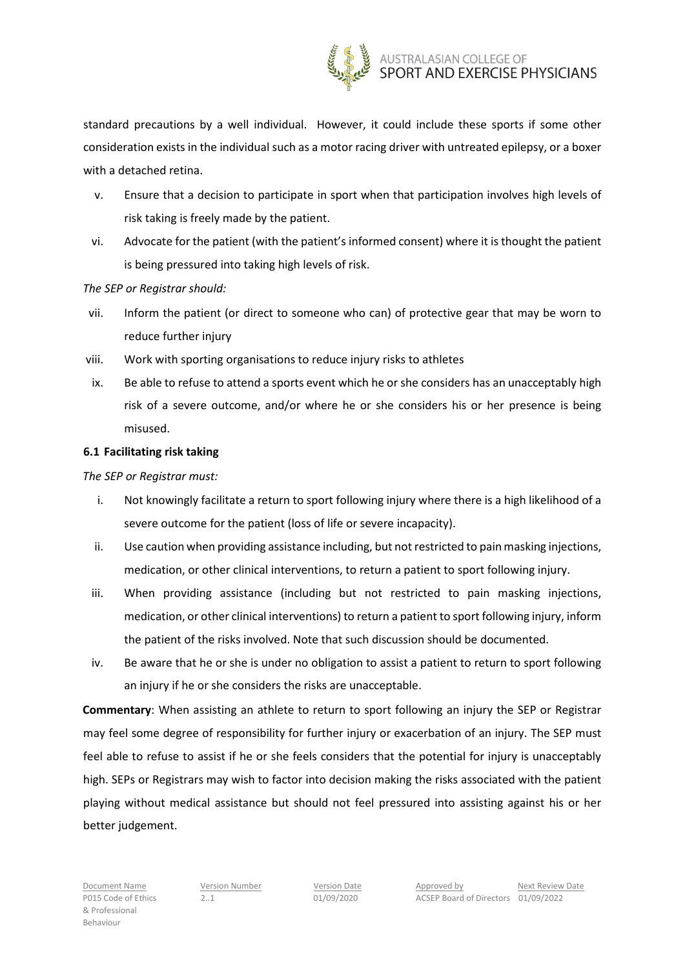

standard precautions by a well individual. However, it could include these sports if some other consideration exists in the individual such as a motor racing driver with untreated epilepsy, or a boxer with a detached retina.

- v. Ensure that a decision to participate in sport when that participation involves high levels of risk taking is freely made by the patient.
- vi. Advocate for the patient (with the patient's informed consent) where it is thought the patient is being pressured into taking high levels of risk.

#### *The SEP or Registrar should:*

- vii. Inform the patient (or direct to someone who can) of protective gear that may be worn to reduce further injury
- viii. Work with sporting organisations to reduce injury risks to athletes
- ix. Be able to refuse to attend a sports event which he or she considers has an unacceptably high risk of a severe outcome, and/or where he or she considers his or her presence is being misused.

# **6.1 Facilitating risk taking**

## *The SEP or Registrar must:*

- i. Not knowingly facilitate a return to sport following injury where there is a high likelihood of a severe outcome for the patient (loss of life or severe incapacity).
- ii. Use caution when providing assistance including, but not restricted to pain masking injections, medication, or other clinical interventions, to return a patient to sport following injury.
- iii. When providing assistance (including but not restricted to pain masking injections, medication, or other clinical interventions) to return a patient to sport following injury, inform the patient of the risks involved. Note that such discussion should be documented.
- iv. Be aware that he or she is under no obligation to assist a patient to return to sport following an injury if he or she considers the risks are unacceptable.

**Commentary**: When assisting an athlete to return to sport following an injury the SEP or Registrar may feel some degree of responsibility for further injury or exacerbation of an injury. The SEP must feel able to refuse to assist if he or she feels considers that the potential for injury is unacceptably high. SEPs or Registrars may wish to factor into decision making the risks associated with the patient playing without medical assistance but should not feel pressured into assisting against his or her better judgement.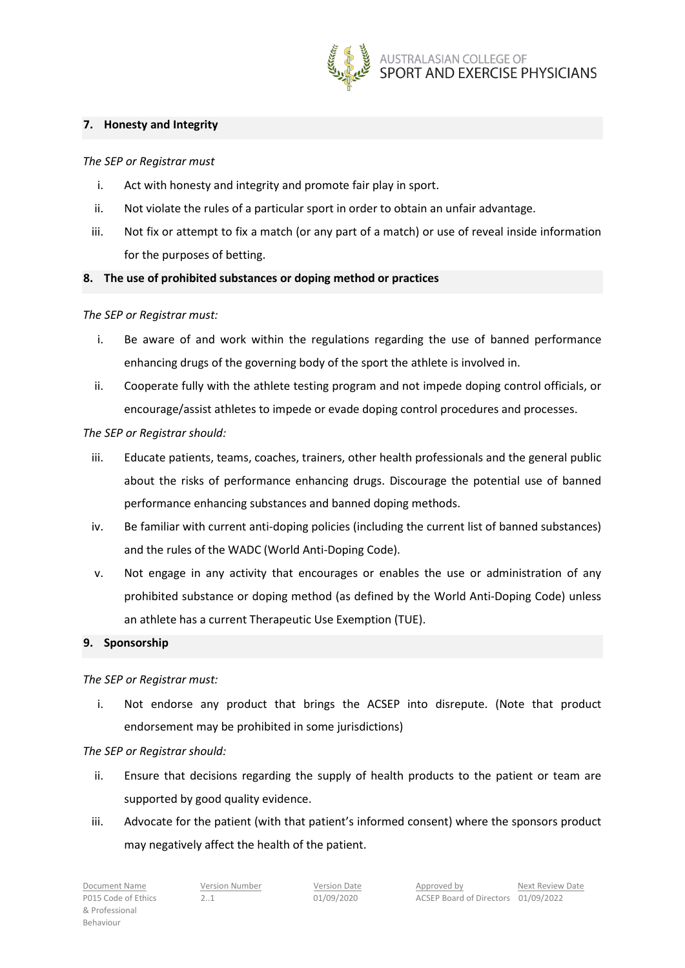

## **7. Honesty and Integrity**

*The SEP or Registrar must*

- i. Act with honesty and integrity and promote fair play in sport.
- ii. Not violate the rules of a particular sport in order to obtain an unfair advantage.
- iii. Not fix or attempt to fix a match (or any part of a match) or use of reveal inside information for the purposes of betting.

# **8. The use of prohibited substances or doping method or practices**

## *The SEP or Registrar must:*

- i. Be aware of and work within the regulations regarding the use of banned performance enhancing drugs of the governing body of the sport the athlete is involved in.
- ii. Cooperate fully with the athlete testing program and not impede doping control officials, or encourage/assist athletes to impede or evade doping control procedures and processes.

## *The SEP or Registrar should:*

- iii. Educate patients, teams, coaches, trainers, other health professionals and the general public about the risks of performance enhancing drugs. Discourage the potential use of banned performance enhancing substances and banned doping methods.
- iv. Be familiar with current anti-doping policies (including the current list of banned substances) and the rules of the WADC (World Anti-Doping Code).
- v. Not engage in any activity that encourages or enables the use or administration of any prohibited substance or doping method (as defined by the World Anti-Doping Code) unless an athlete has a current Therapeutic Use Exemption (TUE).

#### **9. Sponsorship**

#### *The SEP or Registrar must:*

i. Not endorse any product that brings the ACSEP into disrepute. (Note that product endorsement may be prohibited in some jurisdictions)

# *The SEP or Registrar should:*

- ii. Ensure that decisions regarding the supply of health products to the patient or team are supported by good quality evidence.
- iii. Advocate for the patient (with that patient's informed consent) where the sponsors product may negatively affect the health of the patient.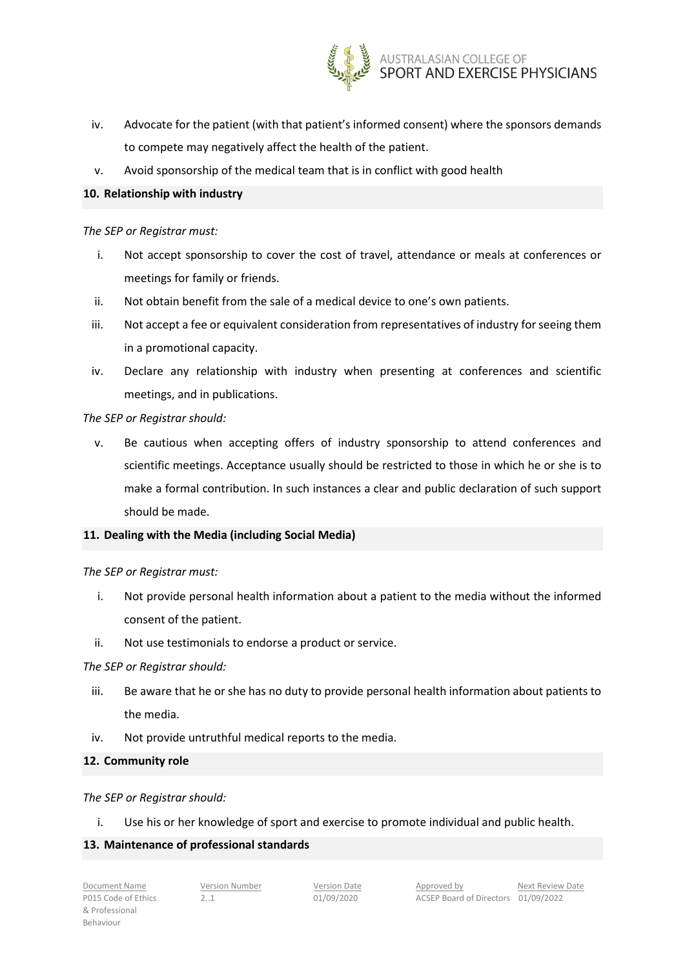

- iv. Advocate for the patient (with that patient's informed consent) where the sponsors demands to compete may negatively affect the health of the patient.
- v. Avoid sponsorship of the medical team that is in conflict with good health

# **10. Relationship with industry**

## *The SEP or Registrar must:*

- i. Not accept sponsorship to cover the cost of travel, attendance or meals at conferences or meetings for family or friends.
- ii. Not obtain benefit from the sale of a medical device to one's own patients.
- iii. Not accept a fee or equivalent consideration from representatives of industry for seeing them in a promotional capacity.
- iv. Declare any relationship with industry when presenting at conferences and scientific meetings, and in publications.

# *The SEP or Registrar should:*

v. Be cautious when accepting offers of industry sponsorship to attend conferences and scientific meetings. Acceptance usually should be restricted to those in which he or she is to make a formal contribution. In such instances a clear and public declaration of such support should be made.

# **11. Dealing with the Media (including Social Media)**

#### *The SEP or Registrar must:*

- i. Not provide personal health information about a patient to the media without the informed consent of the patient.
- ii. Not use testimonials to endorse a product or service.

#### *The SEP or Registrar should:*

- iii. Be aware that he or she has no duty to provide personal health information about patients to the media.
- iv. Not provide untruthful medical reports to the media.

#### **12. Community role**

# *The SEP or Registrar should:*

i. Use his or her knowledge of sport and exercise to promote individual and public health.

# **13. Maintenance of professional standards**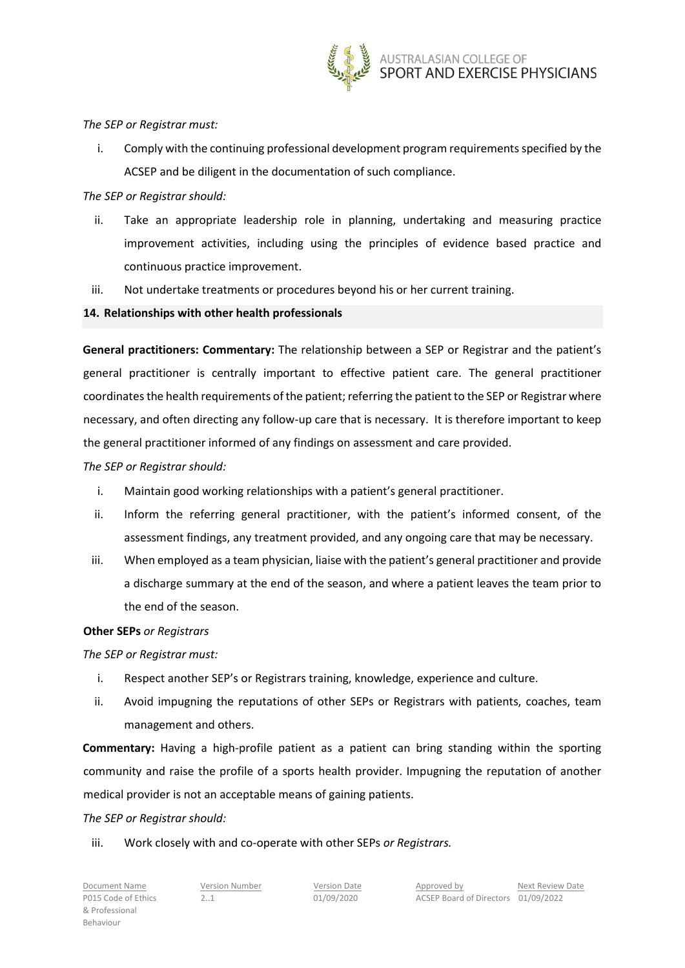

## *The SEP or Registrar must:*

i. Comply with the continuing professional development program requirements specified by the ACSEP and be diligent in the documentation of such compliance.

## *The SEP or Registrar should:*

- ii. Take an appropriate leadership role in planning, undertaking and measuring practice improvement activities, including using the principles of evidence based practice and continuous practice improvement.
- iii. Not undertake treatments or procedures beyond his or her current training.

## **14. Relationships with other health professionals**

**General practitioners: Commentary:** The relationship between a SEP or Registrar and the patient's general practitioner is centrally important to effective patient care. The general practitioner coordinates the health requirements of the patient; referring the patient to the SEP or Registrar where necessary, and often directing any follow-up care that is necessary. It is therefore important to keep the general practitioner informed of any findings on assessment and care provided.

## *The SEP or Registrar should:*

- i. Maintain good working relationships with a patient's general practitioner.
- ii. Inform the referring general practitioner, with the patient's informed consent, of the assessment findings, any treatment provided, and any ongoing care that may be necessary.
- iii. When employed as a team physician, liaise with the patient's general practitioner and provide a discharge summary at the end of the season, and where a patient leaves the team prior to the end of the season.

#### **Other SEPs** *or Registrars*

*The SEP or Registrar must:* 

- i. Respect another SEP's or Registrars training, knowledge, experience and culture.
- ii. Avoid impugning the reputations of other SEPs or Registrars with patients, coaches, team management and others.

**Commentary:** Having a high-profile patient as a patient can bring standing within the sporting community and raise the profile of a sports health provider. Impugning the reputation of another medical provider is not an acceptable means of gaining patients.

#### *The SEP or Registrar should:*

iii. Work closely with and co-operate with other SEPs *or Registrars.*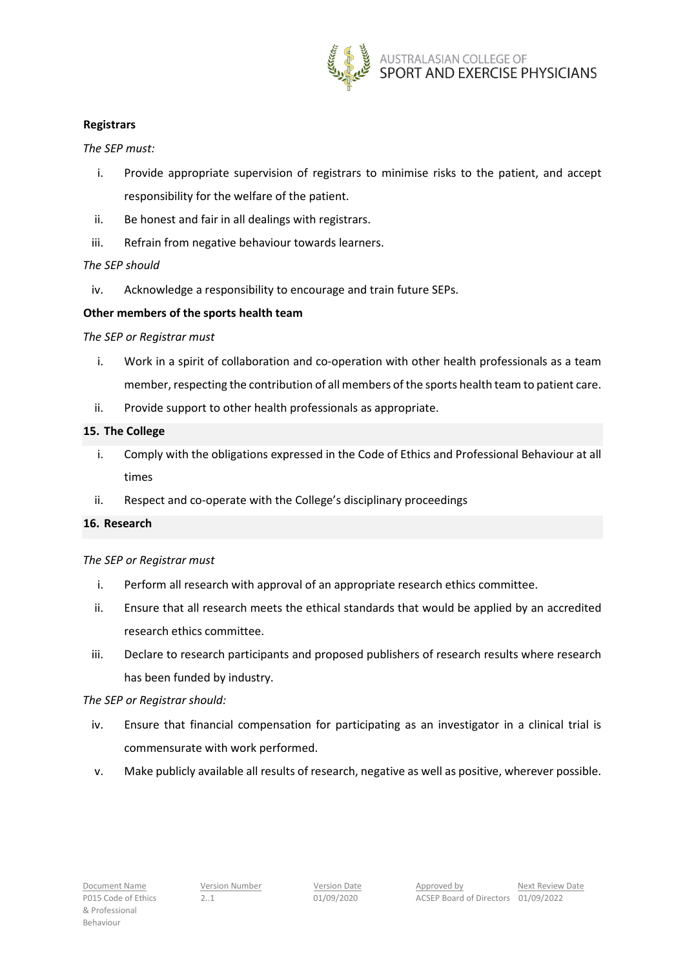

## **Registrars**

*The SEP must:* 

- i. Provide appropriate supervision of registrars to minimise risks to the patient, and accept responsibility for the welfare of the patient.
- ii. Be honest and fair in all dealings with registrars.
- iii. Refrain from negative behaviour towards learners.

## *The SEP should*

iv. Acknowledge a responsibility to encourage and train future SEPs.

## **Other members of the sports health team**

#### *The SEP or Registrar must*

- i. Work in a spirit of collaboration and co-operation with other health professionals as a team member, respecting the contribution of all members of the sports health team to patient care.
- ii. Provide support to other health professionals as appropriate.

## **15. The College**

- i. Comply with the obligations expressed in the Code of Ethics and Professional Behaviour at all times
- ii. Respect and co-operate with the College's disciplinary proceedings

## **16. Research**

#### *The SEP or Registrar must*

- i. Perform all research with approval of an appropriate research ethics committee.
- ii. Ensure that all research meets the ethical standards that would be applied by an accredited research ethics committee.
- iii. Declare to research participants and proposed publishers of research results where research has been funded by industry.

#### *The SEP or Registrar should:*

- iv. Ensure that financial compensation for participating as an investigator in a clinical trial is commensurate with work performed.
- v. Make publicly available all results of research, negative as well as positive, wherever possible.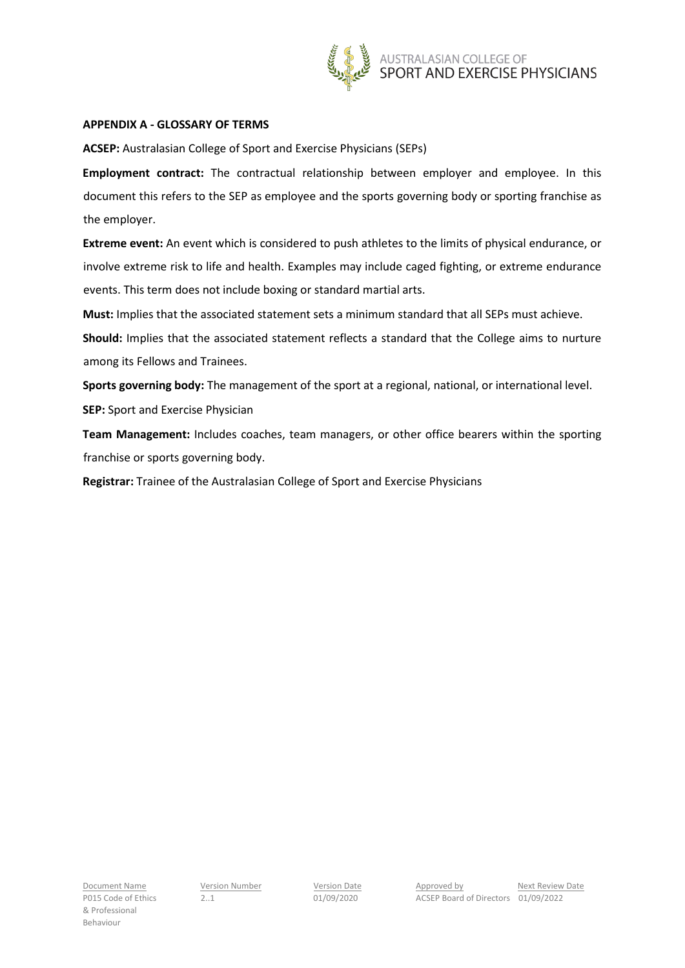

#### **APPENDIX A - GLOSSARY OF TERMS**

**ACSEP:** Australasian College of Sport and Exercise Physicians (SEPs)

**Employment contract:** The contractual relationship between employer and employee. In this document this refers to the SEP as employee and the sports governing body or sporting franchise as the employer.

**Extreme event:** An event which is considered to push athletes to the limits of physical endurance, or involve extreme risk to life and health. Examples may include caged fighting, or extreme endurance events. This term does not include boxing or standard martial arts.

**Must:** Implies that the associated statement sets a minimum standard that all SEPs must achieve.

**Should:** Implies that the associated statement reflects a standard that the College aims to nurture among its Fellows and Trainees.

**Sports governing body:** The management of the sport at a regional, national, or international level.

**SEP:** Sport and Exercise Physician

**Team Management:** Includes coaches, team managers, or other office bearers within the sporting franchise or sports governing body.

**Registrar:** Trainee of the Australasian College of Sport and Exercise Physicians